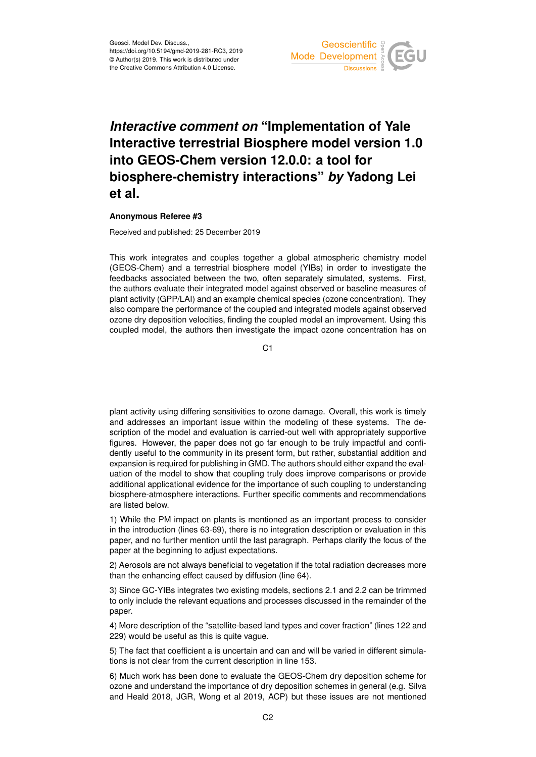

## *Interactive comment on* **"Implementation of Yale Interactive terrestrial Biosphere model version 1.0 into GEOS-Chem version 12.0.0: a tool for biosphere-chemistry interactions"** *by* **Yadong Lei et al.**

## **Anonymous Referee #3**

Received and published: 25 December 2019

This work integrates and couples together a global atmospheric chemistry model (GEOS-Chem) and a terrestrial biosphere model (YIBs) in order to investigate the feedbacks associated between the two, often separately simulated, systems. First, the authors evaluate their integrated model against observed or baseline measures of plant activity (GPP/LAI) and an example chemical species (ozone concentration). They also compare the performance of the coupled and integrated models against observed ozone dry deposition velocities, finding the coupled model an improvement. Using this coupled model, the authors then investigate the impact ozone concentration has on

 $C<sub>1</sub>$ 

plant activity using differing sensitivities to ozone damage. Overall, this work is timely and addresses an important issue within the modeling of these systems. The description of the model and evaluation is carried-out well with appropriately supportive figures. However, the paper does not go far enough to be truly impactful and confidently useful to the community in its present form, but rather, substantial addition and expansion is required for publishing in GMD. The authors should either expand the evaluation of the model to show that coupling truly does improve comparisons or provide additional applicational evidence for the importance of such coupling to understanding biosphere-atmosphere interactions. Further specific comments and recommendations are listed below.

1) While the PM impact on plants is mentioned as an important process to consider in the introduction (lines 63-69), there is no integration description or evaluation in this paper, and no further mention until the last paragraph. Perhaps clarify the focus of the paper at the beginning to adjust expectations.

2) Aerosols are not always beneficial to vegetation if the total radiation decreases more than the enhancing effect caused by diffusion (line 64).

3) Since GC-YIBs integrates two existing models, sections 2.1 and 2.2 can be trimmed to only include the relevant equations and processes discussed in the remainder of the paper.

4) More description of the "satellite-based land types and cover fraction" (lines 122 and 229) would be useful as this is quite vague.

5) The fact that coefficient a is uncertain and can and will be varied in different simulations is not clear from the current description in line 153.

6) Much work has been done to evaluate the GEOS-Chem dry deposition scheme for ozone and understand the importance of dry deposition schemes in general (e.g. Silva and Heald 2018, JGR, Wong et al 2019, ACP) but these issues are not mentioned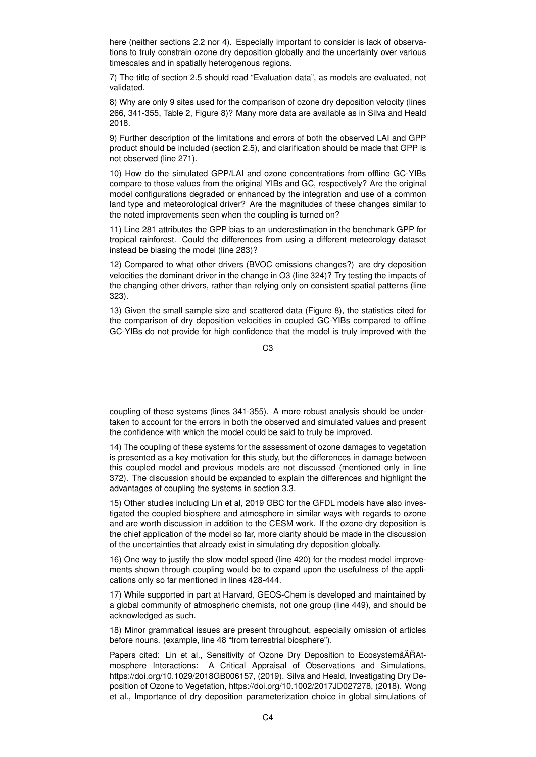here (neither sections 2.2 nor 4). Especially important to consider is lack of observations to truly constrain ozone dry deposition globally and the uncertainty over various timescales and in spatially heterogenous regions.

7) The title of section 2.5 should read "Evaluation data", as models are evaluated, not validated.

8) Why are only 9 sites used for the comparison of ozone dry deposition velocity (lines 266, 341-355, Table 2, Figure 8)? Many more data are available as in Silva and Heald 2018.

9) Further description of the limitations and errors of both the observed LAI and GPP product should be included (section 2.5), and clarification should be made that GPP is not observed (line 271).

10) How do the simulated GPP/LAI and ozone concentrations from offline GC-YIBs compare to those values from the original YIBs and GC, respectively? Are the original model configurations degraded or enhanced by the integration and use of a common land type and meteorological driver? Are the magnitudes of these changes similar to the noted improvements seen when the coupling is turned on?

11) Line 281 attributes the GPP bias to an underestimation in the benchmark GPP for tropical rainforest. Could the differences from using a different meteorology dataset instead be biasing the model (line 283)?

12) Compared to what other drivers (BVOC emissions changes?) are dry deposition velocities the dominant driver in the change in O3 (line 324)? Try testing the impacts of the changing other drivers, rather than relying only on consistent spatial patterns (line 323).

13) Given the small sample size and scattered data (Figure 8), the statistics cited for the comparison of dry deposition velocities in coupled GC-YIBs compared to offline GC-YIBs do not provide for high confidence that the model is truly improved with the

 $C<sub>3</sub>$ 

coupling of these systems (lines 341-355). A more robust analysis should be undertaken to account for the errors in both the observed and simulated values and present the confidence with which the model could be said to truly be improved.

14) The coupling of these systems for the assessment of ozone damages to vegetation is presented as a key motivation for this study, but the differences in damage between this coupled model and previous models are not discussed (mentioned only in line 372). The discussion should be expanded to explain the differences and highlight the advantages of coupling the systems in section 3.3.

15) Other studies including Lin et al, 2019 GBC for the GFDL models have also investigated the coupled biosphere and atmosphere in similar ways with regards to ozone and are worth discussion in addition to the CESM work. If the ozone dry deposition is the chief application of the model so far, more clarity should be made in the discussion of the uncertainties that already exist in simulating dry deposition globally.

16) One way to justify the slow model speed (line 420) for the modest model improvements shown through coupling would be to expand upon the usefulness of the applications only so far mentioned in lines 428-444.

17) While supported in part at Harvard, GEOS-Chem is developed and maintained by a global community of atmospheric chemists, not one group (line 449), and should be acknowledged as such.

18) Minor grammatical issues are present throughout, especially omission of articles before nouns. (example, line 48 "from terrestrial biosphere").

Papers cited: Lin et al., Sensitivity of Ozone Dry Deposition to EcosystemâĂŘAtmosphere Interactions: A Critical Appraisal of Observations and Simulations, https://doi.org/10.1029/2018GB006157, (2019). Silva and Heald, Investigating Dry Deposition of Ozone to Vegetation, https://doi.org/10.1002/2017JD027278, (2018). Wong et al., Importance of dry deposition parameterization choice in global simulations of